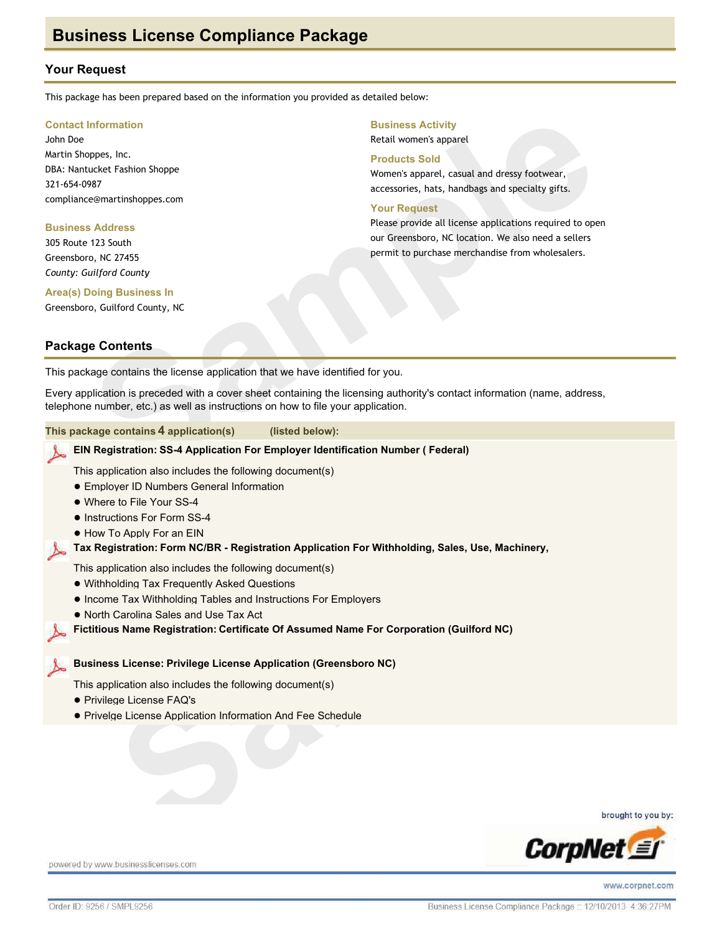## **Your Request**

This package has been prepared based on the information you provided as detailed below:

#### **Contact Information**

John Doe Martin Shoppes, Inc. DBA: Nantucket Fashion Shoppe 321-654-0987 compliance@martinshoppes.com

#### **Business Address**

305 Route 123 South Greensboro, NC 27455 County: Guilford County

#### **Business Activity**

Retail women's apparel

#### **Products Sold**

Women's apparel, casual and dressy footwear, accessories, hats, handbags and specialty gifts.

#### **Your Request**

Please provide all license applications required to open our Greensboro, NC location. We also need a sellers permit to purchase merchandise from wholesalers.

# **Area(s) Doing Business In**

Greensboro, Guilford County, NC

## **Package Contents**

This package contains the license application that we have identified for you.

Every application is preceded with a cover sheet containing the licensing authority's contact information (name, address, telephone number, etc.) as well as instructions on how to file your application.

| This package contains 4 application(s)                                                                                                                                                                               | (listed below):                                                                                 |
|----------------------------------------------------------------------------------------------------------------------------------------------------------------------------------------------------------------------|-------------------------------------------------------------------------------------------------|
|                                                                                                                                                                                                                      | EIN Registration: SS-4 Application For Employer Identification Number (Federal)                 |
| This application also includes the following document(s)<br>• Emplover ID Numbers General Information<br>• Where to File Your SS-4<br>• Instructions For Form SS-4<br>• How To Apply For an EIN                      |                                                                                                 |
|                                                                                                                                                                                                                      | Tax Registration: Form NC/BR - Registration Application For Withholding, Sales, Use, Machinery, |
| This application also includes the following document(s)<br>• Withholding Tax Frequently Asked Questions<br>• Income Tax Withholding Tables and Instructions For Employers<br>• North Carolina Sales and Use Tax Act | Fictitious Name Registration: Certificate Of Assumed Name For Corporation (Guilford NC)         |
| <b>Business License: Privilege License Application (Greensboro NC)</b>                                                                                                                                               |                                                                                                 |
| This application also includes the following document(s)<br>• Privilege License FAQ's<br>• Privelge License Application Information And Fee Schedule                                                                 |                                                                                                 |
|                                                                                                                                                                                                                      |                                                                                                 |

brought to you by:



powered by www.businesslicenses.com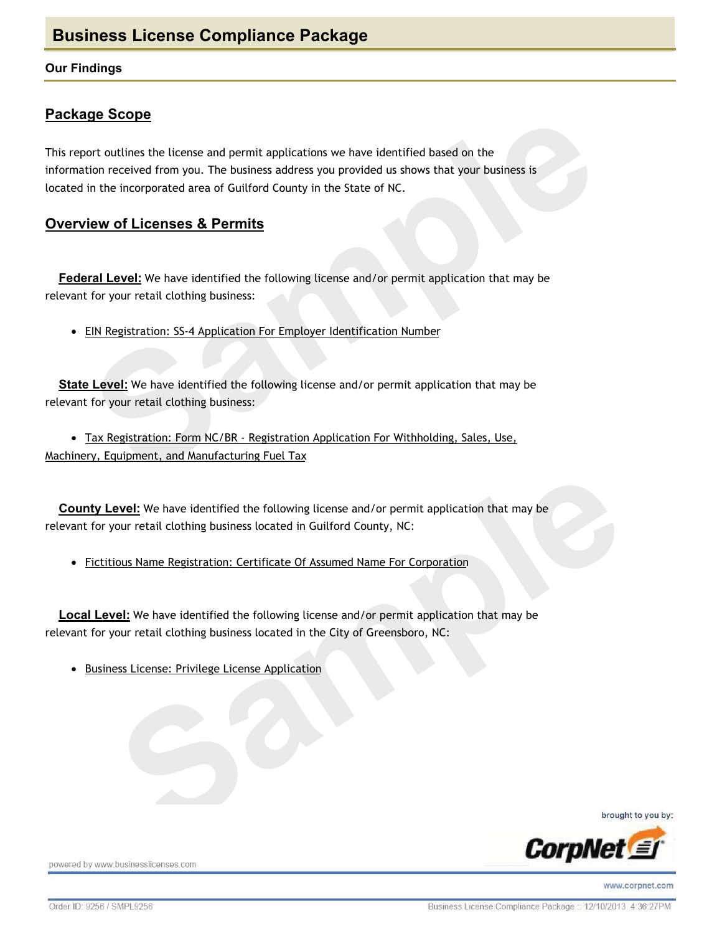### **Our Findings**

## **Package Scope**

This report outlines the license and permit applications we have identified based on the information received from you. The business address you provided us shows that your business is located in the incorporated area of Guilford County in the State of NC.

## **Overview of Licenses & Permits**

Federal Level: We have identified the following license and/or permit application that may be relevant for your retail clothing business:

• EIN Registration: SS-4 Application For Employer Identification Number

State Level: We have identified the following license and/or permit application that may be relevant for your retail clothing business:

• Tax Registration: Form NC/BR - Registration Application For Withholding, Sales, Use, Machinery, Equipment, and Manufacturing Fuel Tax

**County Level:** We have identified the following license and/or permit application that may be relevant for your retail clothing business located in Guilford County, NC:

• Fictitious Name Registration: Certificate Of Assumed Name For Corporation

**Local Level:** We have identified the following license and/or permit application that may be relevant for your retail clothing business located in the City of Greensboro, NC:

• Business License: Privilege License Application

brought to you by:



powered by www.businesslicenses.com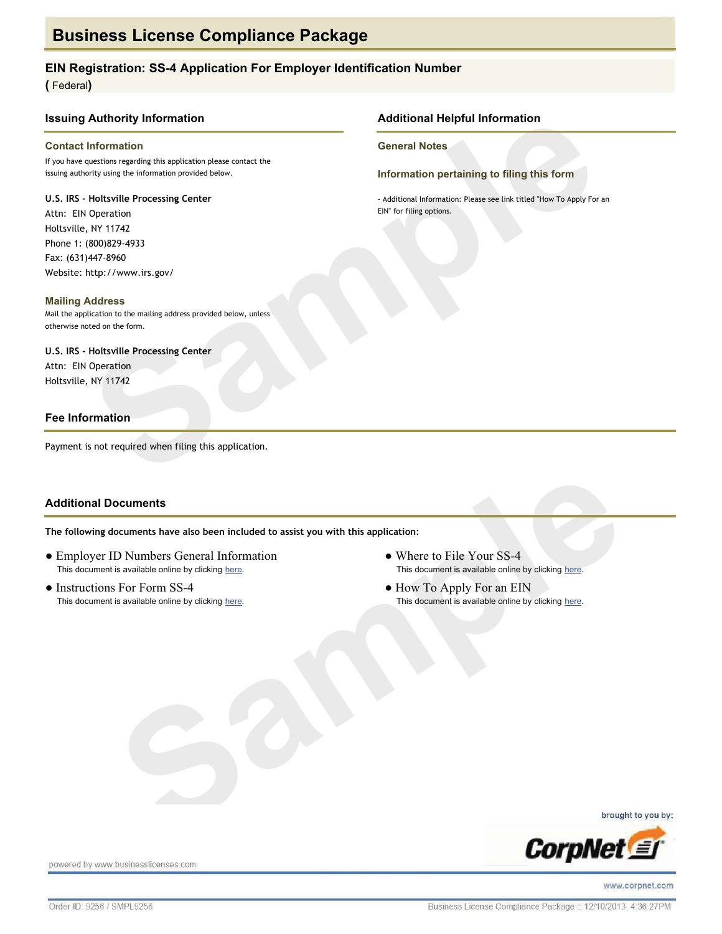#### EIN Registration: SS-4 Application For Employer Identification Number

(Federal)

#### **Issuing Authority Information**

#### **Contact Information**

If you have questions regarding this application please contact the issuing authority using the information provided below.

#### U.S. IRS - Holtsville Processing Center

Attn: EIN Operation Holtsville, NY 11742 Phone 1: (800)829-4933 Fax: (631)447-8960 Website: http://www.irs.gov/

#### **Mailing Address**

Mail the application to the mailing address provided below, unless otherwise noted on the form.

#### U.S. IRS - Holtsville Processing Center Attn: EIN Operation

Holtsville, NY 11742

#### **Fee Information**

Payment is not required when filing this application.

#### **Additional Documents**

The following documents have also been included to assist you with this application:

- Employer ID Numbers General Information This document is available online by clicking here.
- Instructions For Form SS-4 This document is available online by clicking here.

**Additional Helpful Information** 

**General Notes** 

Information pertaining to filing this form

- Additional Information: Please see link titled "How To Apply For an EIN" for filing options.

- Where to File Your SS-4 This document is available online by clicking here.
- How To Apply For an EIN This document is available online by clicking here.

brought to you by:



powered by www.businesslicenses.com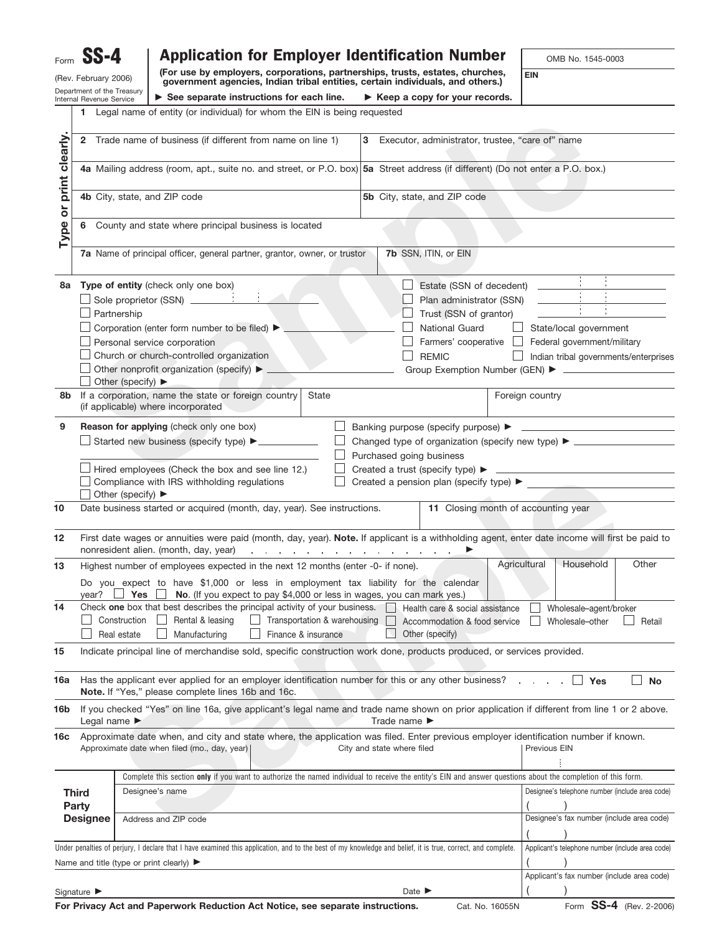|                        |                                                    | <b>Application for Employer Identification Number</b>                                                                                                                               |                                                                        |                            |                                                             | OMB No. 1545-0003                                                                                                                                                                              |
|------------------------|----------------------------------------------------|-------------------------------------------------------------------------------------------------------------------------------------------------------------------------------------|------------------------------------------------------------------------|----------------------------|-------------------------------------------------------------|------------------------------------------------------------------------------------------------------------------------------------------------------------------------------------------------|
|                        | (Rev. February 2006)<br>Department of the Treasury | (For use by employers, corporations, partnerships, trusts, estates, churches,<br>government agencies, Indian tribal entities, certain individuals, and others.)                     |                                                                        |                            |                                                             | <b>EIN</b>                                                                                                                                                                                     |
|                        | Internal Revenue Service                           | $\triangleright$ See separate instructions for each line.                                                                                                                           |                                                                        |                            | $\blacktriangleright$ Keep a copy for your records.         |                                                                                                                                                                                                |
|                        |                                                    | 1 Legal name of entity (or individual) for whom the EIN is being requested                                                                                                          |                                                                        |                            |                                                             |                                                                                                                                                                                                |
|                        |                                                    | 2 Trade name of business (if different from name on line 1)                                                                                                                         |                                                                        |                            | 3 Executor, administrator, trustee, "care of" name          |                                                                                                                                                                                                |
|                        |                                                    | 4a Mailing address (room, apt., suite no. and street, or P.O. box) 5a Street address (if different) (Do not enter a P.O. box.)                                                      |                                                                        |                            |                                                             |                                                                                                                                                                                                |
|                        |                                                    | 4b City, state, and ZIP code                                                                                                                                                        |                                                                        |                            | 5b City, state, and ZIP code                                |                                                                                                                                                                                                |
| Type or print clearly. | 6                                                  | County and state where principal business is located                                                                                                                                |                                                                        |                            |                                                             |                                                                                                                                                                                                |
|                        |                                                    | 7a Name of principal officer, general partner, grantor, owner, or trustor                                                                                                           |                                                                        |                            | 7b SSN, ITIN, or EIN                                        |                                                                                                                                                                                                |
|                        |                                                    | 8a Type of entity (check only one box)                                                                                                                                              |                                                                        |                            | Estate (SSN of decedent)                                    |                                                                                                                                                                                                |
|                        |                                                    | Sole proprietor (SSN) ____________                                                                                                                                                  |                                                                        |                            | Plan administrator (SSN)                                    |                                                                                                                                                                                                |
|                        | Partnership                                        |                                                                                                                                                                                     |                                                                        |                            | Trust (SSN of grantor)                                      |                                                                                                                                                                                                |
|                        |                                                    | Corporation (enter form number to be filed) ▶                                                                                                                                       |                                                                        |                            | <b>National Guard</b>                                       | State/local government                                                                                                                                                                         |
|                        |                                                    | Personal service corporation                                                                                                                                                        |                                                                        |                            | Farmers' cooperative                                        | Federal government/military                                                                                                                                                                    |
|                        |                                                    | Church or church-controlled organization                                                                                                                                            |                                                                        |                            | <b>REMIC</b>                                                | Indian tribal governments/enterprises                                                                                                                                                          |
|                        |                                                    | Other nonprofit organization (specify) ▶                                                                                                                                            |                                                                        |                            |                                                             |                                                                                                                                                                                                |
|                        |                                                    | Other (specify) ▶                                                                                                                                                                   |                                                                        |                            |                                                             |                                                                                                                                                                                                |
|                        |                                                    | 8b If a corporation, name the state or foreign country<br>(if applicable) where incorporated                                                                                        | State                                                                  |                            |                                                             | Foreign country                                                                                                                                                                                |
| 9                      |                                                    | Reason for applying (check only one box)                                                                                                                                            | $\mathbf{L}$                                                           |                            |                                                             |                                                                                                                                                                                                |
|                        |                                                    | Started new business (specify type) ▶ __________                                                                                                                                    |                                                                        |                            |                                                             | Changed type of organization (specify new type) ▶ ______________________________                                                                                                               |
|                        |                                                    |                                                                                                                                                                                     |                                                                        | Purchased going business   |                                                             |                                                                                                                                                                                                |
|                        |                                                    | Hired employees (Check the box and see line 12.)                                                                                                                                    |                                                                        |                            |                                                             |                                                                                                                                                                                                |
|                        |                                                    | Compliance with IRS withholding regulations                                                                                                                                         |                                                                        |                            | Created a pension plan (specify type) $\blacktriangleright$ |                                                                                                                                                                                                |
|                        |                                                    | Other (specify) $\blacktriangleright$                                                                                                                                               |                                                                        |                            |                                                             |                                                                                                                                                                                                |
| 10                     |                                                    | Date business started or acquired (month, day, year). See instructions.                                                                                                             |                                                                        |                            | 11 Closing month of accounting year                         |                                                                                                                                                                                                |
| 12                     |                                                    | nonresident alien. (month, day, year)                                                                                                                                               | design a state of the contract of the contract of the con-             |                            |                                                             | First date wages or annuities were paid (month, day, year). Note. If applicant is a withholding agent, enter date income will first be paid to                                                 |
| 13                     |                                                    | Highest number of employees expected in the next 12 months (enter -0- if none).                                                                                                     |                                                                        |                            |                                                             | Agricultural<br>Household<br>Other                                                                                                                                                             |
|                        | year?                                              | Do you expect to have \$1,000 or less in employment tax liability for the calendar<br>Yes                                                                                           | No. (If you expect to pay \$4,000 or less in wages, you can mark yes.) |                            |                                                             |                                                                                                                                                                                                |
|                        |                                                    |                                                                                                                                                                                     |                                                                        |                            |                                                             |                                                                                                                                                                                                |
|                        |                                                    | Check one box that best describes the principal activity of your business.                                                                                                          |                                                                        |                            | Health care & social assistance                             | Wholesale-agent/broker                                                                                                                                                                         |
|                        | Construction                                       | Rental & leasing                                                                                                                                                                    | Transportation & warehousing                                           |                            | Accommodation & food service                                | Wholesale-other<br>Retail                                                                                                                                                                      |
|                        | Real estate                                        | Manufacturing                                                                                                                                                                       | Finance & insurance                                                    |                            | Other (specify)                                             |                                                                                                                                                                                                |
| 14<br>15               |                                                    | Indicate principal line of merchandise sold, specific construction work done, products produced, or services provided.                                                              |                                                                        |                            |                                                             |                                                                                                                                                                                                |
|                        |                                                    | Has the applicant ever applied for an employer identification number for this or any other business?<br>Note. If "Yes," please complete lines 16b and 16c.                          |                                                                        |                            |                                                             | $\mathbf{I}$<br><b>No</b><br>Yes                                                                                                                                                               |
| 16a<br>16b             | Legal name $\blacktriangleright$                   |                                                                                                                                                                                     |                                                                        | Trade name ▶               |                                                             | If you checked "Yes" on line 16a, give applicant's legal name and trade name shown on prior application if different from line 1 or 2 above.                                                   |
|                        |                                                    | Approximate date when, and city and state where, the application was filed. Enter previous employer identification number if known.<br>Approximate date when filed (mo., day, year) |                                                                        | City and state where filed |                                                             | Previous EIN                                                                                                                                                                                   |
|                        |                                                    |                                                                                                                                                                                     |                                                                        |                            |                                                             |                                                                                                                                                                                                |
|                        |                                                    | Complete this section only if you want to authorize the named individual to receive the entity's EIN and answer questions about the completion of this form.                        |                                                                        |                            |                                                             |                                                                                                                                                                                                |
| <b>Third</b>           |                                                    | Designee's name                                                                                                                                                                     |                                                                        |                            |                                                             |                                                                                                                                                                                                |
| Party                  | <b>Designee</b>                                    | Address and ZIP code                                                                                                                                                                |                                                                        |                            |                                                             |                                                                                                                                                                                                |
|                        |                                                    |                                                                                                                                                                                     |                                                                        |                            |                                                             |                                                                                                                                                                                                |
| 16с                    |                                                    | Under penalties of perjury, I declare that I have examined this application, and to the best of my knowledge and belief, it is true, correct, and complete.                         |                                                                        |                            |                                                             |                                                                                                                                                                                                |
|                        |                                                    | Name and title (type or print clearly) $\blacktriangleright$                                                                                                                        |                                                                        |                            |                                                             |                                                                                                                                                                                                |
|                        | Signature $\blacktriangleright$                    |                                                                                                                                                                                     |                                                                        |                            | Date $\blacktriangleright$                                  | Designee's telephone number (include area code)<br>Designee's fax number (include area code)<br>Applicant's telephone number (include area code)<br>Applicant's fax number (include area code) |

**For Privacy Act and Paperwork Reduction Act Notice, see separate instructions.** Cat. No. 16055N Form **SS-4** (Rev. 2-2006)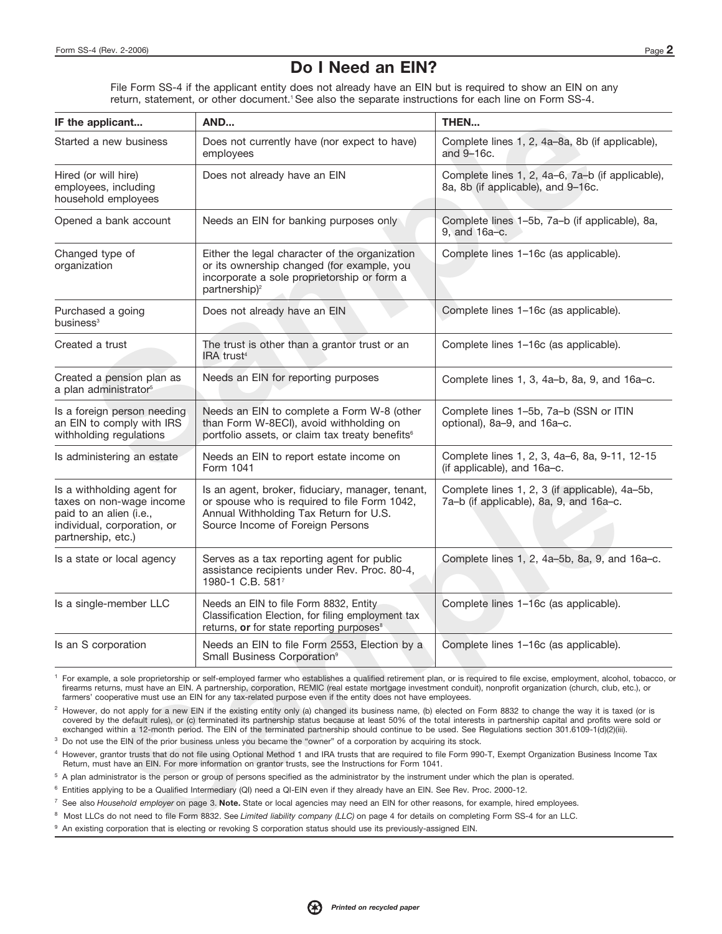## **Do I Need an EIN?**

File Form SS-4 if the applicant entity does not already have an EIN but is required to show an EIN on any return, statement, or other document.<sup>1</sup> See also the separate instructions for each line on Form SS-4.

| IF the applicant                                                                                                                       | AND                                                                                                                                                                                                                                                                                                                                                                                                                                                                                                                                                                                                                                      | THEN                                                                                      |
|----------------------------------------------------------------------------------------------------------------------------------------|------------------------------------------------------------------------------------------------------------------------------------------------------------------------------------------------------------------------------------------------------------------------------------------------------------------------------------------------------------------------------------------------------------------------------------------------------------------------------------------------------------------------------------------------------------------------------------------------------------------------------------------|-------------------------------------------------------------------------------------------|
| Started a new business                                                                                                                 | Does not currently have (nor expect to have)<br>employees                                                                                                                                                                                                                                                                                                                                                                                                                                                                                                                                                                                | Complete lines 1, 2, 4a-8a, 8b (if applicable),<br>and 9-16c.                             |
| Hired (or will hire)<br>employees, including<br>household employees                                                                    | Does not already have an EIN                                                                                                                                                                                                                                                                                                                                                                                                                                                                                                                                                                                                             | Complete lines 1, 2, 4a-6, 7a-b (if applicable),<br>8a, 8b (if applicable), and 9-16c.    |
| Opened a bank account                                                                                                                  | Needs an EIN for banking purposes only                                                                                                                                                                                                                                                                                                                                                                                                                                                                                                                                                                                                   | Complete lines 1-5b, 7a-b (if applicable), 8a,<br>9, and 16a-c.                           |
| Changed type of<br>organization                                                                                                        | Either the legal character of the organization<br>or its ownership changed (for example, you<br>incorporate a sole proprietorship or form a<br>partnership) <sup>2</sup>                                                                                                                                                                                                                                                                                                                                                                                                                                                                 | Complete lines 1-16c (as applicable).                                                     |
| Purchased a going<br>business <sup>3</sup>                                                                                             | Does not already have an EIN                                                                                                                                                                                                                                                                                                                                                                                                                                                                                                                                                                                                             | Complete lines 1-16c (as applicable).                                                     |
| Created a trust                                                                                                                        | The trust is other than a grantor trust or an<br>IRA trust <sup>4</sup>                                                                                                                                                                                                                                                                                                                                                                                                                                                                                                                                                                  | Complete lines 1-16c (as applicable).                                                     |
| Created a pension plan as<br>a plan administrator <sup>5</sup>                                                                         | Needs an EIN for reporting purposes                                                                                                                                                                                                                                                                                                                                                                                                                                                                                                                                                                                                      | Complete lines 1, 3, 4a-b, 8a, 9, and 16a-c.                                              |
| Is a foreign person needing<br>an EIN to comply with IRS<br>withholding regulations                                                    | Needs an EIN to complete a Form W-8 (other<br>than Form W-8ECI), avoid withholding on<br>portfolio assets, or claim tax treaty benefits <sup>6</sup>                                                                                                                                                                                                                                                                                                                                                                                                                                                                                     | Complete lines 1-5b, 7a-b (SSN or ITIN<br>optional), 8a-9, and 16a-c.                     |
| Is administering an estate                                                                                                             | Needs an EIN to report estate income on<br>Form 1041                                                                                                                                                                                                                                                                                                                                                                                                                                                                                                                                                                                     | Complete lines 1, 2, 3, 4a-6, 8a, 9-11, 12-15<br>(if applicable), and 16a-c.              |
| Is a withholding agent for<br>taxes on non-wage income<br>paid to an alien (i.e.,<br>individual, corporation, or<br>partnership, etc.) | Is an agent, broker, fiduciary, manager, tenant,<br>or spouse who is required to file Form 1042,<br>Annual Withholding Tax Return for U.S.<br>Source Income of Foreign Persons                                                                                                                                                                                                                                                                                                                                                                                                                                                           | Complete lines 1, 2, 3 (if applicable), 4a-5b,<br>7a-b (if applicable), 8a, 9, and 16a-c. |
| Is a state or local agency                                                                                                             | Serves as a tax reporting agent for public<br>assistance recipients under Rev. Proc. 80-4,<br>1980-1 C.B. 5817                                                                                                                                                                                                                                                                                                                                                                                                                                                                                                                           | Complete lines 1, 2, 4a-5b, 8a, 9, and 16a-c.                                             |
| Is a single-member LLC                                                                                                                 | Needs an EIN to file Form 8832, Entity<br>Classification Election, for filing employment tax<br>returns, or for state reporting purposes <sup>8</sup>                                                                                                                                                                                                                                                                                                                                                                                                                                                                                    | Complete lines 1-16c (as applicable).                                                     |
| Is an S corporation                                                                                                                    | Needs an EIN to file Form 2553, Election by a<br>Small Business Corporation <sup>9</sup>                                                                                                                                                                                                                                                                                                                                                                                                                                                                                                                                                 | Complete lines 1-16c (as applicable).                                                     |
|                                                                                                                                        | For example, a sole proprietorship or self-employed farmer who establishes a qualified retirement plan, or is required to file excise, employment, alcohol, tobacco, o<br>firearms returns, must have an EIN. A partnership, corporation, REMIC (real estate mortgage investment conduit), nonprofit organization (church, club, etc.), or<br>farmers' cooperative must use an EIN for any tax-related purpose even if the entity does not have employees.                                                                                                                                                                               |                                                                                           |
|                                                                                                                                        | <sup>2</sup> However, do not apply for a new EIN if the existing entity only (a) changed its business name, (b) elected on Form 8832 to change the way it is taxed (or is<br>covered by the default rules), or (c) terminated its partnership status because at least 50% of the total interests in partnership capital and profits were sold or<br>exchanged within a 12-month period. The EIN of the terminated partnership should continue to be used. See Regulations section 301.6109-1(d)(2)(iii).<br><sup>3</sup> Do not use the EIN of the prior business unless you became the "owner" of a corporation by acquiring its stock. |                                                                                           |
|                                                                                                                                        | 4 However, grantor trusts that do not file using Optional Method 1 and IRA trusts that are required to file Form 990-T, Exempt Organization Business Income Tax<br>Return, must have an EIN. For more information on grantor trusts, see the Instructions for Form 1041.                                                                                                                                                                                                                                                                                                                                                                 |                                                                                           |
|                                                                                                                                        | <sup>5</sup> A plan administrator is the person or group of persons specified as the administrator by the instrument under which the plan is operated.                                                                                                                                                                                                                                                                                                                                                                                                                                                                                   |                                                                                           |
|                                                                                                                                        | <sup>6</sup> Entities applying to be a Qualified Intermediary (QI) need a QI-EIN even if they already have an EIN. See Rev. Proc. 2000-12.                                                                                                                                                                                                                                                                                                                                                                                                                                                                                               |                                                                                           |
|                                                                                                                                        | $^7$ See also Household employer on page 3. Note. State or local agencies may need an EIN for other reasons, for example, hired employees.                                                                                                                                                                                                                                                                                                                                                                                                                                                                                               |                                                                                           |
|                                                                                                                                        | <sup>8</sup> Most LLCs do not need to file Form 8832. See Limited liability company (LLC) on page 4 for details on completing Form SS-4 for an LLC.                                                                                                                                                                                                                                                                                                                                                                                                                                                                                      |                                                                                           |
|                                                                                                                                        | <sup>9</sup> An existing corporation that is electing or revoking S corporation status should use its previously-assigned EIN.                                                                                                                                                                                                                                                                                                                                                                                                                                                                                                           |                                                                                           |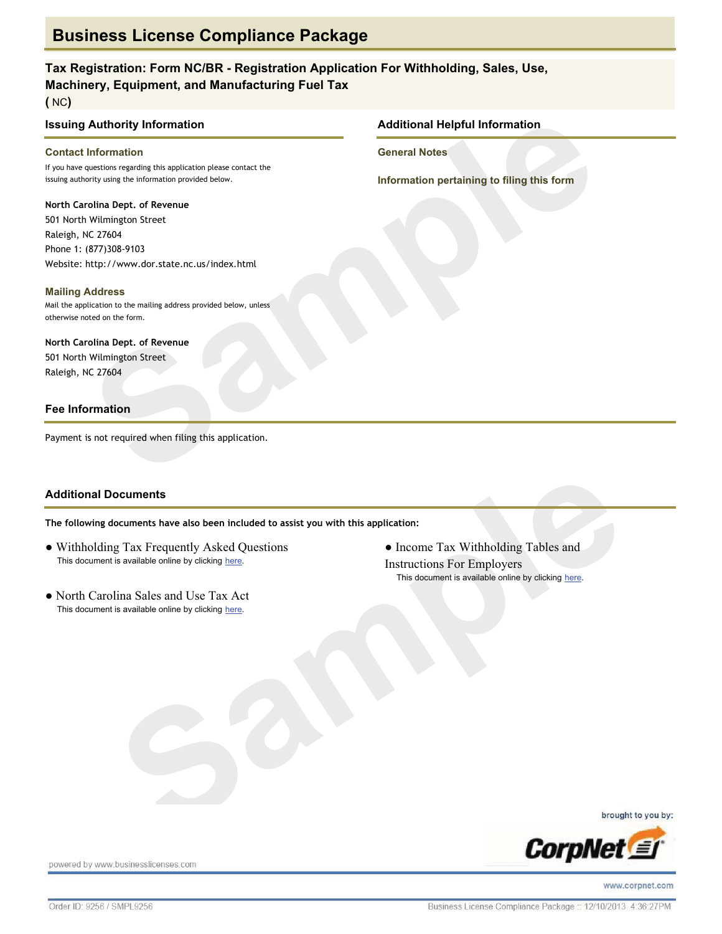## Tax Registration: Form NC/BR - Registration Application For Withholding, Sales, Use, **Machinery, Equipment, and Manufacturing Fuel Tax**

 $(NC)$ 

#### **Issuing Authority Information**

#### **Contact Information**

If you have questions regarding this application please contact the issuing authority using the information provided below.

#### North Carolina Dept. of Revenue

501 North Wilmington Street Raleigh, NC 27604 Phone 1: (877)308-9103 Website: http://www.dor.state.nc.us/index.html

#### **Mailing Address**

Mail the application to the mailing address provided below, unless otherwise noted on the form.

## North Carolina Dept. of Revenue

501 North Wilmington Street Raleigh, NC 27604

#### **Fee Information**

Payment is not required when filing this application.

#### **Additional Documents**

The following documents have also been included to assist you with this application:

- Withholding Tax Frequently Asked Ouestions This document is available online by clicking here.
- North Carolina Sales and Use Tax Act This document is available online by clicking here.

#### **Additional Helpful Information**

**General Notes** 

Information pertaining to filing this form

• Income Tax Withholding Tables and **Instructions For Employers** This document is available online by clicking here.

brought to you by:



powered by www.businesslicenses.com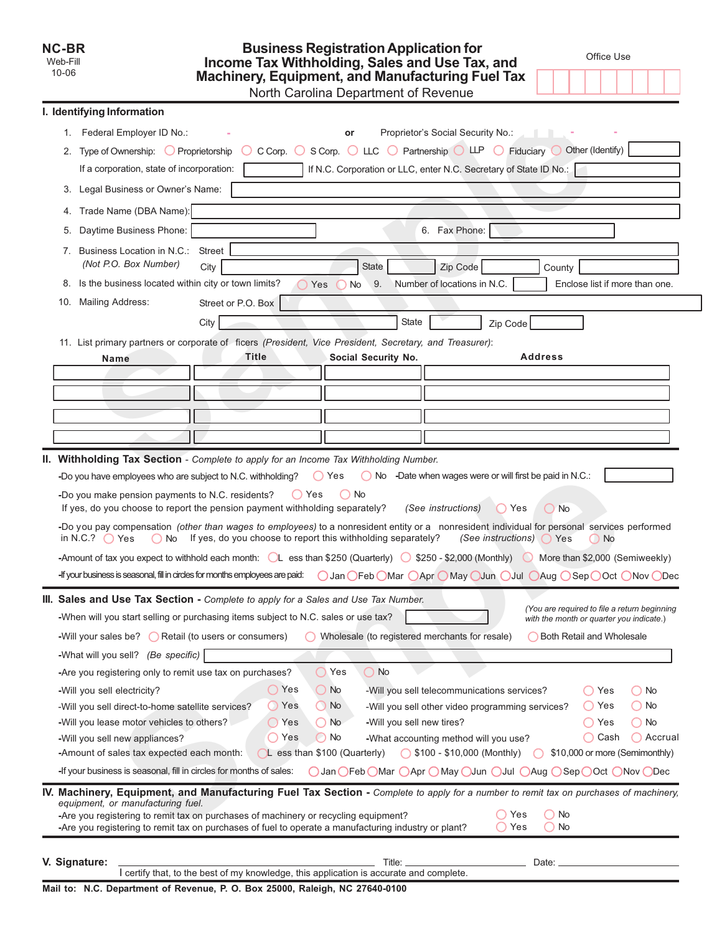| NC-BR    |  |
|----------|--|
| Web-Fill |  |
| 10-06    |  |

# Business Registration Application for<br>Income Tax Withholding, Sales and Use Tax, and<br>Machinery, Equipment, and Manufacturing Fuel Tax າue

Office Use

┐

|  | North Carolina Department of Reven |  |
|--|------------------------------------|--|

|     | I. Identifying Information                                                                                                                                                                  |                                                                                         |                                                                            |                                                                                |                                                                                          |                   |
|-----|---------------------------------------------------------------------------------------------------------------------------------------------------------------------------------------------|-----------------------------------------------------------------------------------------|----------------------------------------------------------------------------|--------------------------------------------------------------------------------|------------------------------------------------------------------------------------------|-------------------|
|     | 1. Federal Employer ID No.:                                                                                                                                                                 |                                                                                         | or                                                                         | Proprietor's Social Security No.:                                              |                                                                                          |                   |
| 2.  | Type of Ownership: $\bigcirc$ Proprietorship                                                                                                                                                | $^{(+)}$                                                                                | C Corp. ◯ S Corp. ◯ LLC ◯ Partnership ◯ LLP ◯ Fiduciary ◯ Other (Identify) |                                                                                |                                                                                          |                   |
|     | If a corporation, state of incorporation:                                                                                                                                                   |                                                                                         | If N.C. Corporation or LLC, enter N.C. Secretary of State ID No.:          |                                                                                |                                                                                          |                   |
|     | 3. Legal Business or Owner's Name:                                                                                                                                                          |                                                                                         |                                                                            |                                                                                |                                                                                          |                   |
| 4.  | Trade Name (DBA Name):                                                                                                                                                                      |                                                                                         |                                                                            |                                                                                |                                                                                          |                   |
| 5.  | Daytime Business Phone:                                                                                                                                                                     |                                                                                         |                                                                            | 6. Fax Phone:                                                                  |                                                                                          |                   |
|     | 7. Business Location in N.C.:<br>(Not P.O. Box Number)                                                                                                                                      | <b>Street</b><br>City                                                                   | <b>State</b>                                                               | Zip Code                                                                       | County                                                                                   |                   |
|     | 8. Is the business located within city or town limits?                                                                                                                                      | Yes                                                                                     | 9.<br>No                                                                   | Number of locations in N.C.                                                    | Enclose list if more than one.                                                           |                   |
| 10. | <b>Mailing Address:</b>                                                                                                                                                                     | Street or P.O. Box                                                                      |                                                                            |                                                                                |                                                                                          |                   |
|     |                                                                                                                                                                                             | City                                                                                    | <b>State</b>                                                               | Zip Code                                                                       |                                                                                          |                   |
|     | 11. List primary partners or corporate of ficers (President, Vice President, Secretary, and Treasurer):                                                                                     |                                                                                         |                                                                            |                                                                                |                                                                                          |                   |
|     | Name                                                                                                                                                                                        | <b>Title</b>                                                                            | Social Security No.                                                        |                                                                                | <b>Address</b>                                                                           |                   |
|     |                                                                                                                                                                                             |                                                                                         |                                                                            |                                                                                |                                                                                          |                   |
|     |                                                                                                                                                                                             |                                                                                         |                                                                            |                                                                                |                                                                                          |                   |
|     |                                                                                                                                                                                             |                                                                                         |                                                                            |                                                                                |                                                                                          |                   |
|     |                                                                                                                                                                                             |                                                                                         |                                                                            |                                                                                |                                                                                          |                   |
|     |                                                                                                                                                                                             |                                                                                         |                                                                            |                                                                                |                                                                                          |                   |
|     | II. Withholding Tax Section - Complete to apply for an Income Tax Withholding Number.<br>-Do you have employees who are subject to N.C. withholding?                                        |                                                                                         | $\bigcirc$ Yes                                                             | ◯ No -Date when wages were or will first be paid in N.C.:                      |                                                                                          |                   |
|     |                                                                                                                                                                                             |                                                                                         |                                                                            |                                                                                |                                                                                          |                   |
|     | -Do you make pension payments to N.C. residents?<br>If yes, do you choose to report the pension payment withholding separately?                                                             | ( ) Yes                                                                                 | ( ) No                                                                     | (See instructions)<br>( Yes                                                    | ◯ No                                                                                     |                   |
|     | -Do you pay compensation (other than wages to employees) to a nonresident entity or a nonresident individual for personal services performed<br>in N.C.? $\bigcirc$ Yes                     | $\bigcirc$ No If yes, do you choose to report this withholding separately?              |                                                                            | (See instructions) $\bigcap$ Yes                                               | ( No                                                                                     |                   |
|     | -Amount of tax you expect to withhold each month: $\Omega$ ess than \$250 (Quarterly) $\Omega$ \$250 - \$2,000 (Monthly) $\Omega$ More than \$2,000 (Semiweekly)                            |                                                                                         |                                                                            |                                                                                |                                                                                          |                   |
|     |                                                                                                                                                                                             |                                                                                         |                                                                            |                                                                                |                                                                                          |                   |
|     | III. Sales and Use Tax Section - Complete to apply for a Sales and Use Tax Number.                                                                                                          |                                                                                         |                                                                            |                                                                                |                                                                                          |                   |
|     | -When will you start selling or purchasing items subject to N.C. sales or use tax?                                                                                                          |                                                                                         |                                                                            |                                                                                | (You are required to file a return beginning<br>with the month or quarter you indicate.) |                   |
|     | -Will your sales be? $\bigcirc$ Retail (to users or consumers)                                                                                                                              |                                                                                         | Wholesale (to registered merchants for resale)                             |                                                                                | <b>Both Retail and Wholesale</b>                                                         |                   |
|     | -What will you sell? (Be specific)                                                                                                                                                          |                                                                                         |                                                                            |                                                                                |                                                                                          |                   |
|     | -Are you registering only to remit use tax on purchases?                                                                                                                                    |                                                                                         | $\bigcirc$ Yes<br>$\bigcirc$ No                                            |                                                                                |                                                                                          |                   |
|     | -Will you sell electricity?                                                                                                                                                                 | $\bigcirc$ Yes                                                                          | $\bigcirc$ No                                                              | -Will you sell telecommunications services?                                    | () Yes<br>() No                                                                          |                   |
|     | -Will you sell direct-to-home satellite services?                                                                                                                                           | () Yes                                                                                  | $\bigcirc$ No                                                              | -Will you sell other video programming services?                               | ( ) No<br>() Yes                                                                         |                   |
|     | -Will you lease motor vehicles to others?                                                                                                                                                   | $\bigcirc$ Yes                                                                          | $\bigcirc$ No<br>-Will you sell new tires?                                 |                                                                                | ( ) Yes<br>() No                                                                         |                   |
|     | -Will you sell new appliances?<br>-Amount of sales tax expected each month:                                                                                                                 | ◯ Yes                                                                                   | (C) No<br>CL ess than \$100 (Quarterly)                                    | -What accounting method will you use?<br>$\bigcirc$ \$100 - \$10,000 (Monthly) | ( ) Cash<br>\$10,000 or more (Semimonthly)                                               | $\bigcap$ Accrual |
|     | -If your business is seasonal, fill in circles for months of sales:                                                                                                                         |                                                                                         |                                                                            |                                                                                | ○ Jan OFeb OMar OApr OMay OJun OJul OAug OSep OOct ONov ODec                             |                   |
|     | IV. Machinery, Equipment, and Manufacturing Fuel Tax Section - Complete to apply for a number to remit tax on purchases of machinery,                                                       |                                                                                         |                                                                            |                                                                                |                                                                                          |                   |
|     | equipment, or manufacturing fuel.                                                                                                                                                           |                                                                                         |                                                                            |                                                                                |                                                                                          |                   |
|     | -Are you registering to remit tax on purchases of machinery or recycling equipment?<br>-Are you registering to remit tax on purchases of fuel to operate a manufacturing industry or plant? |                                                                                         |                                                                            | ( ) Yes<br>( ) Yes                                                             | No<br>No<br>$^{\circ}$                                                                   |                   |
|     |                                                                                                                                                                                             |                                                                                         |                                                                            |                                                                                |                                                                                          |                   |
|     | V. Signature:                                                                                                                                                                               | I certify that, to the best of my knowledge, this application is accurate and complete. | Title:                                                                     |                                                                                | Date: $\equiv$                                                                           |                   |
|     | Mail to: N.C. Department of Revenue, P. O. Box 25000, Raleigh, NC 27640-0100                                                                                                                |                                                                                         |                                                                            |                                                                                |                                                                                          |                   |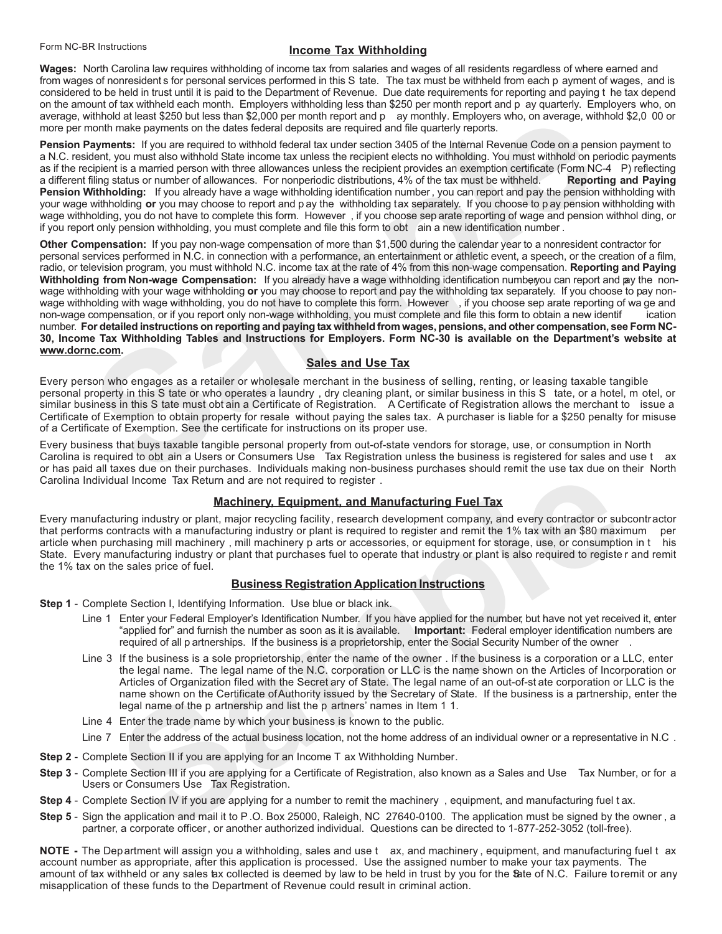#### **Income Tax Withholding**

Wages: North Carolina law requires withholding of income tax from salaries and wages of all residents regardless of where earned and from wages of nonresidents for personal services performed in this S tate. The tax must be withheld from each p ayment of wages, and is considered to be held in trust until it is paid to the Department of Revenue. Due date on the amount of tax withheld each month. Employers withholding less than \$250 per month report and p ay quarterly. Employers who, on average, withhold at least \$250 but less than \$2,000 per month report and p ay monthly. Employers who, on average, withhold \$2,0 00 or more per month make payments on the dates federal deposits are required and file quarterly reports.

Pension Payments: If you are required to withhold federal tax under section 3405 of the Internal Revenue Code on a pension payment to a N.C. resident, you must also withhold State income tax unless the recipient elects no withholding. You must withhold on periodic payments as if the recipient is a married person with three allowances unless the recipient provides an exemption certificate (Form NC-4 P) reflecting a different filing status or number of allowances. For nonperiodic distributions, 4% of the tax must be withheld. **Reporting and Paying** Pension Withholding: If you already have a wage withholding identification number, you can report and pay the pension withholding with your wage withholding or you may choose to report and p ay the withholding tax separately. If you choose to p ay pension withholding with wage withholding, you do not have to complete this form. However, if you choose sep arate reporting of wage and pension withhol ding, or if you report only pension withholding, you must complete and file this form to obt ain a new identification number.

Other Compensation: If you pay non-wage compensation of more than \$1,500 during the calendar year to a nonresident contractor for personal services performed in N.C. in connection with a performance, an entertainment or athletic event, a speech, or the creation of a film, radio, or television program, you must withhold N.C. income tax at the rate of 4% from this non-wage compensation. Reporting and Paying Withholding from Non-wage Compensation: If you already have a wage withholding identification numberyou can report and pay the nonwage withholding with your wage withholding or you may choose to report and pay the withholding tax separately. If you choose to pay nonwage withholding with wage withholding, you do not have to complete this form. However, if you choose sep arate reporting of wa ge and non-wage compensation, or if you report only non-wage withholding, you must complete and file this form to obtain a new identif ication number. For detailed instructions on reporting and paying tax withheld from wages, pensions, and other compensation, see Form NC-30, Income Tax Withholding Tables and Instructions for Employers. Form NC-30 is available on the Department's website at www.dornc.com.

#### **Sales and Use Tax**

Every person who engages as a retailer or wholesale merchant in the business of selling, renting, or leasing taxable tangible personal property in this S tate or who operates a laundry, dry cleaning plant, or similar business in this S tate, or a hotel, m otel, or similar business in this S tate must obt ain a Certificate of Registration. A Certificate of Registration allows the merchant to issue a Certificate of Exemption to obtain property for resale without paying the sales tax. A purchaser is liable for a \$250 penalty for misuse of a Certificate of Exemption. See the certificate for instructions on its proper use.

Every business that buys taxable tangible personal property from out-of-state vendors for storage, use, or consumption in North Carolina is required to obt ain a Users or Consumers Use Tax Registration unless the business is registered for sales and use t ax or has paid all taxes due on their purchases. Individuals making non-business purchases should remit the use tax due on their North Carolina Individual Income Tax Return and are not required to register.

#### **Machinery, Equipment, and Manufacturing Fuel Tax**

Every manufacturing industry or plant, major recycling facility, research development company, and every contractor or subcontractor that performs contracts with a manufacturing industry or plant is required to register and remit the 1% tax with an \$80 maximum per article when purchasing mill machinery , mill machinery p arts or accessories, or equipment for storage, use, or consumption in this State. Every manufacturing industry or plant that purchases fuel to operate that industry or plant is also required to registe r and remit the 1% tax on the sales price of fuel.

#### **Business Registration Application Instructions**

- Step 1 Complete Section I, Identifying Information. Use blue or black ink.
	- Line 1 Enter your Federal Employer's Identification Number. If you have applied for the number, but have not yet received it, enter "applied for" and furnish the number as soon as it is available. Important: Federal employer identification numbers are required of all p artnerships. If the business is a proprietorship, enter the Social Security Number of the owner
	- Line 3 If the business is a sole proprietorship, enter the name of the owner. If the business is a corporation or a LLC, enter the legal name. The legal name of the N.C. corporation or LLC is the name shown on the Articles of Incorporation or Articles of Organization filed with the Secret ary of State. The legal name of an out-of-st ate corporation or LLC is the name shown on the Certificate of Authority issued by the Secretary of State. If the business is a partnership, enter the legal name of the p artnership and list the p artners' names in Item 1 1.
	- Line 4 Enter the trade name by which your business is known to the public.
	- Line 7 Enter the address of the actual business location, not the home address of an individual owner or a representative in N.C.
- Step 2 Complete Section II if you are applying for an Income T ax Withholding Number.
- Step 3 Complete Section III if you are applying for a Certificate of Registration, also known as a Sales and Use Tax Number, or for a Users or Consumers Use Tax Registration.
- Step 4 Complete Section IV if you are applying for a number to remit the machinery, equipment, and manufacturing fuel tax.
- Step 5 Sign the application and mail it to P.O. Box 25000, Raleigh, NC 27640-0100. The application must be signed by the owner, a partner, a corporate officer, or another authorized individual. Questions can be directed to 1-877-252-3052 (toll-free).

NOTE - The Department will assign you a withholding, sales and use t ax, and machinery, equipment, and manufacturing fuel t ax account number as appropriate, after this application is processed. Use the assigned number to make your tax payments. The amount of tax withheld or any sales tax collected is deemed by law to be held in trust by you for the Bate of N.C. Failure to remit or any misapplication of these funds to the Department of Revenue could result in criminal action.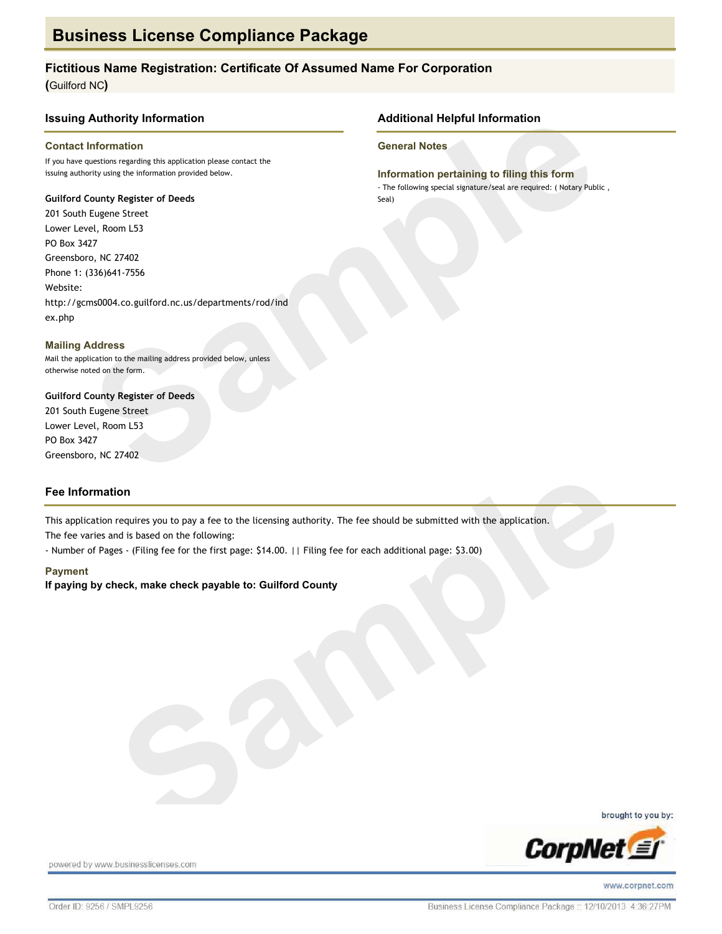#### Fictitious Name Registration: Certificate Of Assumed Name For Corporation

**Additional Helpful Information** 

Information pertaining to filing this form - The following special signature/seal are required: ( Notary Public,

**General Notes** 

Seal)

(Guilford NC)

#### **Issuing Authority Information**

#### **Contact Information**

If you have questions regarding this application please contact the issuing authority using the information provided below.

#### **Guilford County Register of Deeds**

201 South Eugene Street Lower Level, Room L53 PO Box 3427 Greensboro, NC 27402 Phone 1: (336)641-7556 Website: http://gcms0004.co.guilford.nc.us/departments/rod/ind ex.php

**Mailing Address** Mail the application to the mailing address provided below, unless otherwise noted on the form.

**Guilford County Register of Deeds** 201 South Eugene Street Lower Level, Room L53 PO Box 3427 Greensboro, NC 27402

#### **Fee Information**

This application requires you to pay a fee to the licensing authority. The fee should be submitted with the application.

The fee varies and is based on the following:

- Number of Pages - (Filing fee for the first page: \$14.00. | | Filing fee for each additional page: \$3.00)

#### **Payment**

If paying by check, make check payable to: Guilford County







powered by www.businesslicenses.com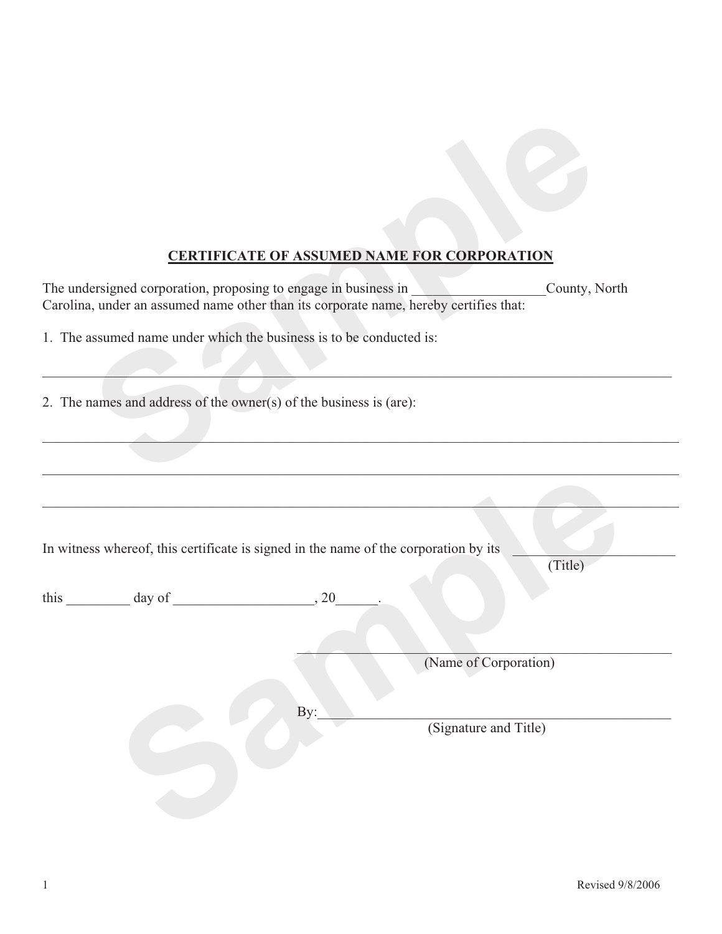## **CERTIFICATE OF ASSUMED NAME FOR CORPORATION**

|                                                                                                                                                          | <b>CERTIFICATE OF ASSUMED NAME FOR CORPORATION</b> |
|----------------------------------------------------------------------------------------------------------------------------------------------------------|----------------------------------------------------|
| The undersigned corporation, proposing to engage in business in<br>Carolina, under an assumed name other than its corporate name, hereby certifies that: | <b>Contract Contract Contract</b><br>County, North |
| 1. The assumed name under which the business is to be conducted is:                                                                                      |                                                    |
|                                                                                                                                                          |                                                    |
|                                                                                                                                                          |                                                    |
| 2. The names and address of the owner(s) of the business is (are):                                                                                       |                                                    |
|                                                                                                                                                          |                                                    |
|                                                                                                                                                          |                                                    |
|                                                                                                                                                          |                                                    |
|                                                                                                                                                          |                                                    |
| In witness whereof, this certificate is signed in the name of the corporation by its                                                                     | (Title)                                            |
|                                                                                                                                                          |                                                    |
| this $\frac{day \text{ of } (x,y) - (x,y) \text{ of } (x,y) - (y,y) \text{ of } (x,y) \text{ of } (x,y)$                                                 |                                                    |
|                                                                                                                                                          |                                                    |
|                                                                                                                                                          | (Name of Corporation)                              |
|                                                                                                                                                          |                                                    |
|                                                                                                                                                          | By:                                                |
|                                                                                                                                                          | (Signature and Title)                              |
|                                                                                                                                                          |                                                    |
|                                                                                                                                                          |                                                    |
|                                                                                                                                                          |                                                    |
|                                                                                                                                                          |                                                    |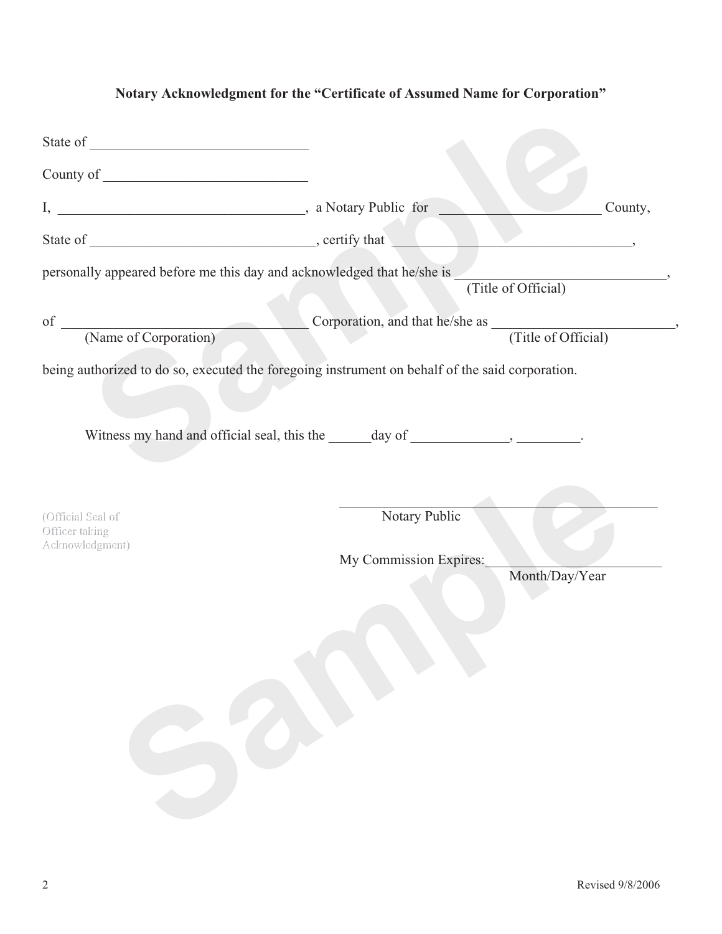## **Notary Acknowledgment for the "Certificate of Assumed Name for Corporation"**

|                                                                                                 |                        | County,             |
|-------------------------------------------------------------------------------------------------|------------------------|---------------------|
|                                                                                                 |                        |                     |
| personally appeared before me this day and acknowledged that he/she is                          |                        |                     |
|                                                                                                 |                        | (Title of Official) |
| of Corporation Corporation Corporation, and that he/she as (Title of Official)                  |                        |                     |
|                                                                                                 |                        |                     |
| being authorized to do so, executed the foregoing instrument on behalf of the said corporation. |                        |                     |
|                                                                                                 |                        |                     |
|                                                                                                 |                        |                     |
|                                                                                                 |                        |                     |
|                                                                                                 |                        |                     |
| (Official Seal of                                                                               | Notary Public          |                     |
| Officer taking<br>Acknowledgment)                                                               |                        |                     |
|                                                                                                 | My Commission Expires: |                     |
|                                                                                                 |                        | Month/Day/Year      |
|                                                                                                 |                        |                     |
|                                                                                                 |                        |                     |
|                                                                                                 |                        |                     |
|                                                                                                 |                        |                     |
|                                                                                                 |                        |                     |
|                                                                                                 |                        |                     |
|                                                                                                 |                        |                     |
|                                                                                                 |                        |                     |
|                                                                                                 |                        |                     |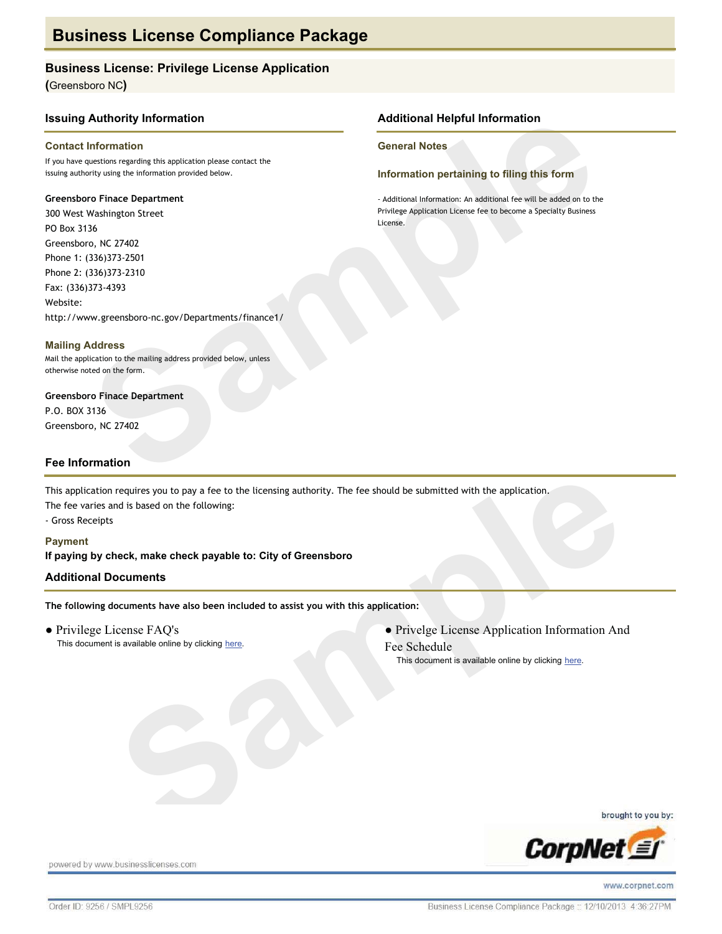### **Business License: Privilege License Application**

(Greensboro NC)

#### **Issuing Authority Information**

#### **Contact Information**

If you have questions regarding this application please contact the issuing authority using the information provided below.

#### **Greensboro Finace Department**

300 West Washington Street PO Box 3136 Greensboro, NC 27402 Phone 1: (336)373-2501 Phone 2: (336)373-2310 Fax: (336)373-4393 Website: http://www.greensboro-nc.gov/Departments/finance1/

**Mailing Address** Mail the application to the mailing address provided below, unless otherwise noted on the form.

**Greensboro Finace Department** P.O. BOX 3136 Greensboro, NC 27402

#### **Fee Information**

This application requires you to pay a fee to the licensing authority. The fee should be submitted with the application. The fee varies and is based on the following:

- Gross Receipts

**Payment** If paying by check, make check payable to: City of Greensboro

#### **Additional Documents**

The following documents have also been included to assist you with this application:

• Privilege License FAQ's This document is available online by clicking here. • Privelge License Application Information And Fee Schedule

This document is available online by clicking here.

**Additional Helpful Information** 

Information pertaining to filing this form

- Additional Information: An additional fee will be added on to the Privilege Application License fee to become a Specialty Business

**General Notes** 

License.





powered by www.businesslicenses.com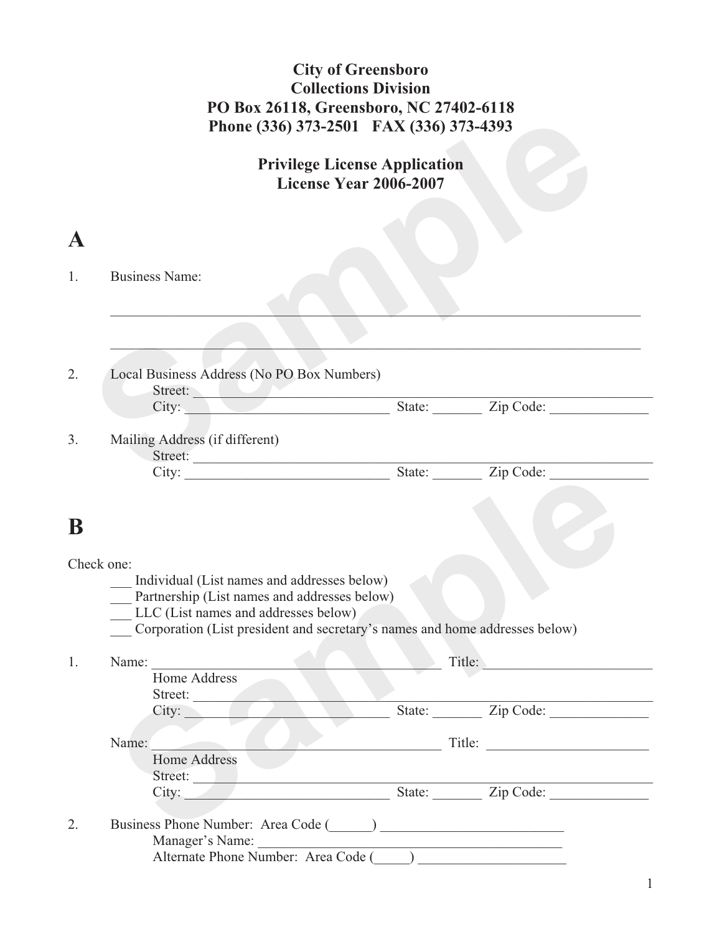## **City of Greensboro Collections Division PO Box 26118, Greensboro, NC 27402-6118 Phone (336) 373-2501 FAX (336) 373-4393**

|             |                                                                                                                                                                                                                                  | <b>Privilege License Application</b><br>License Year 2006-2007 |                                                       |
|-------------|----------------------------------------------------------------------------------------------------------------------------------------------------------------------------------------------------------------------------------|----------------------------------------------------------------|-------------------------------------------------------|
| $\mathbf A$ |                                                                                                                                                                                                                                  |                                                                |                                                       |
| 1.          | <b>Business Name:</b>                                                                                                                                                                                                            |                                                                |                                                       |
|             |                                                                                                                                                                                                                                  |                                                                |                                                       |
| 2.          | Local Business Address (No PO Box Numbers)<br>Street:<br>City:                                                                                                                                                                   |                                                                |                                                       |
|             |                                                                                                                                                                                                                                  |                                                                | State: <u>Zip Code:</u>                               |
| 3.          | Mailing Address (if different)<br>Street:                                                                                                                                                                                        |                                                                |                                                       |
|             |                                                                                                                                                                                                                                  |                                                                |                                                       |
| ${\bf B}$   | Check one:<br>Individual (List names and addresses below)<br>Partnership (List names and addresses below)<br>LLC (List names and addresses below)<br>Corporation (List president and secretary's names and home addresses below) |                                                                |                                                       |
|             |                                                                                                                                                                                                                                  |                                                                |                                                       |
|             | Name:                                                                                                                                                                                                                            |                                                                | Title:                                                |
| 1.          | Home Address                                                                                                                                                                                                                     |                                                                |                                                       |
|             | Street:<br>City:                                                                                                                                                                                                                 |                                                                |                                                       |
|             | Name:                                                                                                                                                                                                                            |                                                                |                                                       |
|             | <b>Home Address</b>                                                                                                                                                                                                              |                                                                |                                                       |
|             | Street:<br>City:                                                                                                                                                                                                                 |                                                                | State: Zip Code:<br>Title:<br>State: <u>Zip Code:</u> |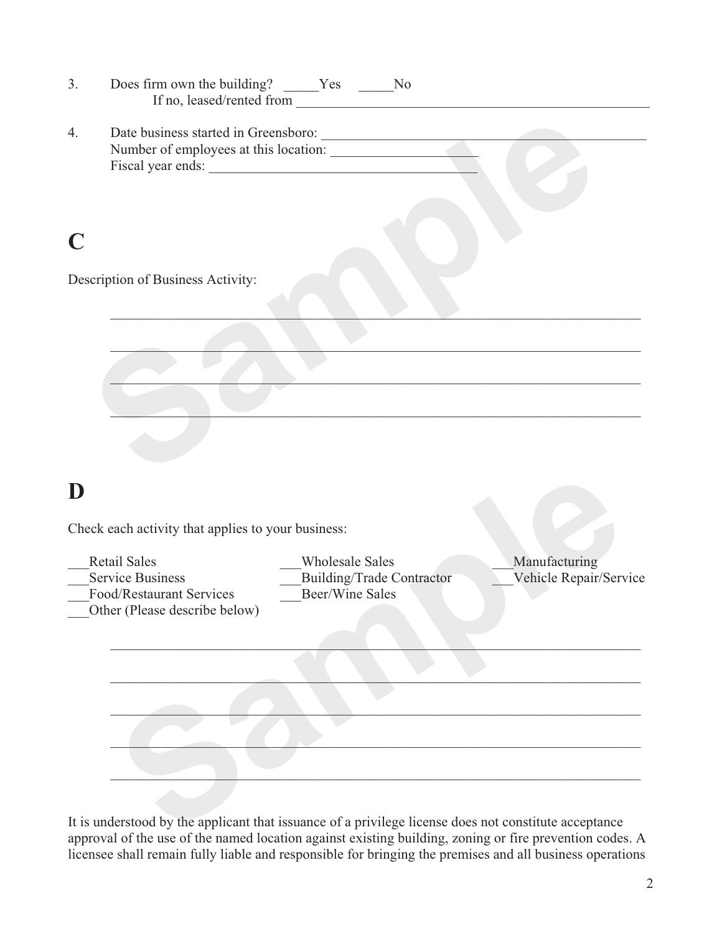|             | Does firm own the building? _____Yes ______No                                                               | If no, leased/rented from                                                            |                                                                                           |
|-------------|-------------------------------------------------------------------------------------------------------------|--------------------------------------------------------------------------------------|-------------------------------------------------------------------------------------------|
| 4.          | Fiscal year ends:                                                                                           | Date business started in Greensboro:<br>Number of employees at this location:        |                                                                                           |
| $\mathbf C$ |                                                                                                             |                                                                                      |                                                                                           |
|             | Description of Business Activity:                                                                           |                                                                                      |                                                                                           |
|             |                                                                                                             |                                                                                      |                                                                                           |
|             |                                                                                                             |                                                                                      | the control of the control of the control of the control of the control of the control of |
|             |                                                                                                             |                                                                                      |                                                                                           |
|             |                                                                                                             |                                                                                      |                                                                                           |
| D           |                                                                                                             |                                                                                      |                                                                                           |
|             | Check each activity that applies to your business:                                                          |                                                                                      |                                                                                           |
|             | <b>Retail Sales</b><br><b>Service Business</b><br>Food/Restaurant Services<br>Other (Please describe below) | <b>Wholesale Sales</b><br><b>Building/Trade Contractor</b><br><b>Beer/Wine Sales</b> | Manufacturing                                                                             |
|             |                                                                                                             |                                                                                      |                                                                                           |
|             |                                                                                                             |                                                                                      |                                                                                           |
|             |                                                                                                             |                                                                                      | Vehicle Repair/Service                                                                    |

It is understood by the applicant that issuance of a privilege license does not constitute acceptance approval of the use of the named location against existing building, zoning or fire prevention codes. A licensee shall remain fully liable and responsible for bringing the premises and all business operations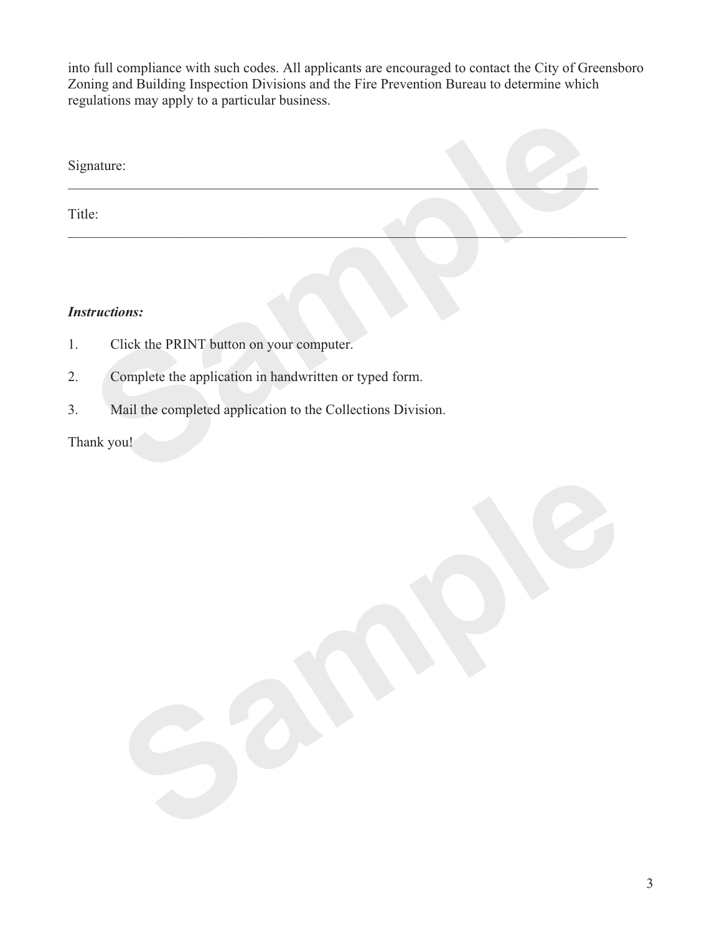into full compliance with such codes. All applicants are encouraged to contact the City of Greensboro Zoning and Building Inspection Divisions and the Fire Prevention Bureau to determine which regulations may apply to a particular business.

| Title: |                                                             |
|--------|-------------------------------------------------------------|
|        | <b>Instructions:</b>                                        |
|        |                                                             |
| 1.     | Click the PRINT button on your computer.                    |
| 2.     | Complete the application in handwritten or typed form.      |
| 3.     | Mail the completed application to the Collections Division. |
|        | Thank you!                                                  |

## *Instructions:*

- 1. Click the PRINT button on your computer.
- 2. Complete the application in handwritten or typed form.
- 3. Mail the completed application to the Collections Division.

## Thank you!